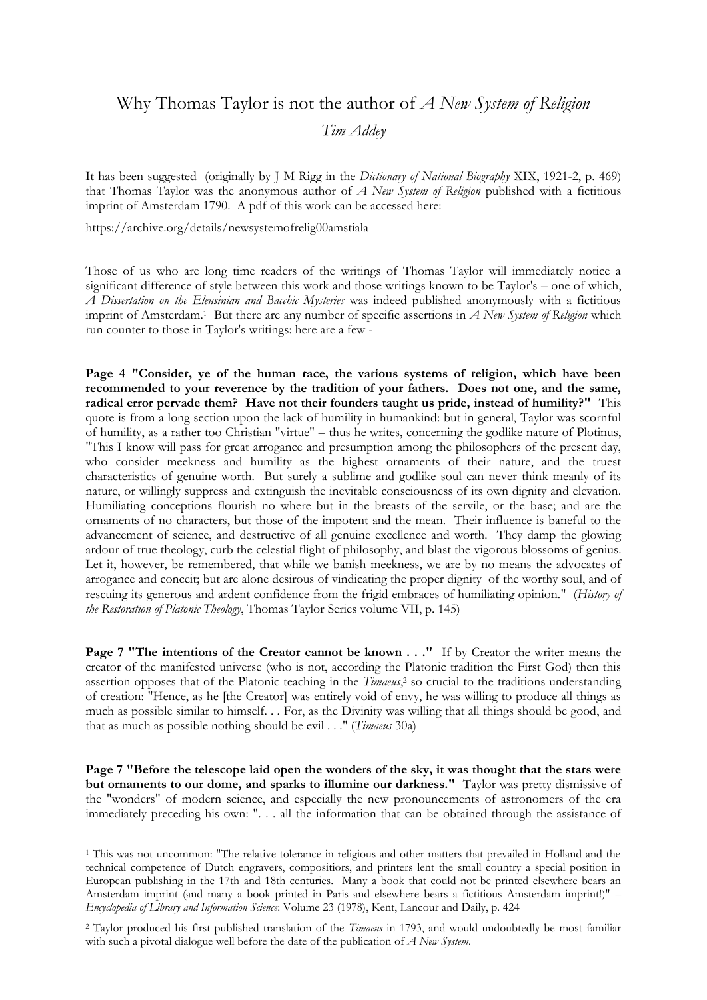## Why Thomas Taylor is not the author of *A New System of Religion Tim Addey*

It has been suggested (originally by J M Rigg in the *Dictionary of National Biography* XIX, 1921-2, p. 469) that Thomas Taylor was the anonymous author of *A New System of Religion* published with a fictitious imprint of Amsterdam 1790. A pdf of this work can be accessed here:

https://archive.org/details/newsystemofrelig00amstiala

<u>.</u>

Those of us who are long time readers of the writings of Thomas Taylor will immediately notice a significant difference of style between this work and those writings known to be Taylor's – one of which, *A Dissertation on the Eleusinian and Bacchic Mysteries* was indeed published anonymously with a fictitious imprint of Amsterdam.<sup>1</sup> But there are any number of specific assertions in *A New System of Religion* which run counter to those in Taylor's writings: here are a few -

**Page 4 "Consider, ye of the human race, the various systems of religion, which have been recommended to your reverence by the tradition of your fathers. Does not one, and the same, radical error pervade them? Have not their founders taught us pride, instead of humility?"** This quote is from a long section upon the lack of humility in humankind: but in general, Taylor was scornful of humility, as a rather too Christian "virtue" – thus he writes, concerning the godlike nature of Plotinus, "This I know will pass for great arrogance and presumption among the philosophers of the present day, who consider meekness and humility as the highest ornaments of their nature, and the truest characteristics of genuine worth. But surely a sublime and godlike soul can never think meanly of its nature, or willingly suppress and extinguish the inevitable consciousness of its own dignity and elevation. Humiliating conceptions flourish no where but in the breasts of the servile, or the base; and are the ornaments of no characters, but those of the impotent and the mean. Their influence is baneful to the advancement of science, and destructive of all genuine excellence and worth. They damp the glowing ardour of true theology, curb the celestial flight of philosophy, and blast the vigorous blossoms of genius. Let it, however, be remembered, that while we banish meekness, we are by no means the advocates of arrogance and conceit; but are alone desirous of vindicating the proper dignity of the worthy soul, and of rescuing its generous and ardent confidence from the frigid embraces of humiliating opinion." (*History of the Restoration of Platonic Theology*, Thomas Taylor Series volume VII, p. 145)

**Page 7 "The intentions of the Creator cannot be known . . ." If by Creator the writer means the** creator of the manifested universe (who is not, according the Platonic tradition the First God) then this assertion opposes that of the Platonic teaching in the *Timaeus*, <sup>2</sup> so crucial to the traditions understanding of creation: "Hence, as he [the Creator] was entirely void of envy, he was willing to produce all things as much as possible similar to himself. . . For, as the Divinity was willing that all things should be good, and that as much as possible nothing should be evil . . ." (*Timaeus* 30a)

**Page 7 "Before the telescope laid open the wonders of the sky, it was thought that the stars were but ornaments to our dome, and sparks to illumine our darkness."** Taylor was pretty dismissive of the "wonders" of modern science, and especially the new pronouncements of astronomers of the era immediately preceding his own: ". . . all the information that can be obtained through the assistance of

<sup>1</sup> This was not uncommon: "The relative tolerance in religious and other matters that prevailed in Holland and the technical competence of Dutch engravers, compositiors, and printers lent the small country a special position in European publishing in the 17th and 18th centuries. Many a book that could not be printed elsewhere bears an Amsterdam imprint (and many a book printed in Paris and elsewhere bears a fictitious Amsterdam imprint!)" – *Encyclopedia of Library and Information Science*: Volume 23 (1978), Kent, Lancour and Daily, p. 424

<sup>2</sup> Taylor produced his first published translation of the *Timaeus* in 1793, and would undoubtedly be most familiar with such a pivotal dialogue well before the date of the publication of *A New System*.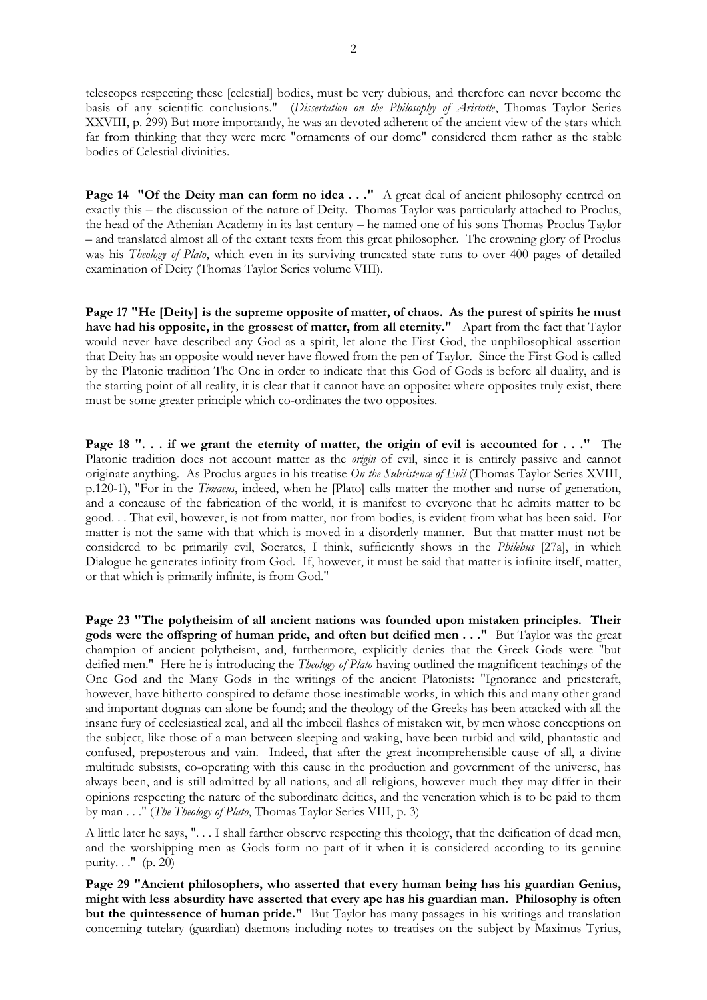telescopes respecting these [celestial] bodies, must be very dubious, and therefore can never become the basis of any scientific conclusions." (*Dissertation on the Philosophy of Aristotle*, Thomas Taylor Series XXVIII, p. 299) But more importantly, he was an devoted adherent of the ancient view of the stars which far from thinking that they were mere "ornaments of our dome" considered them rather as the stable bodies of Celestial divinities.

**Page 14 "Of the Deity man can form no idea ..."** A great deal of ancient philosophy centred on exactly this – the discussion of the nature of Deity. Thomas Taylor was particularly attached to Proclus, the head of the Athenian Academy in its last century – he named one of his sons Thomas Proclus Taylor – and translated almost all of the extant texts from this great philosopher. The crowning glory of Proclus was his *Theology of Plato*, which even in its surviving truncated state runs to over 400 pages of detailed examination of Deity (Thomas Taylor Series volume VIII).

**Page 17 "He [Deity] is the supreme opposite of matter, of chaos. As the purest of spirits he must have had his opposite, in the grossest of matter, from all eternity."** Apart from the fact that Taylor would never have described any God as a spirit, let alone the First God, the unphilosophical assertion that Deity has an opposite would never have flowed from the pen of Taylor. Since the First God is called by the Platonic tradition The One in order to indicate that this God of Gods is before all duality, and is the starting point of all reality, it is clear that it cannot have an opposite: where opposites truly exist, there must be some greater principle which co-ordinates the two opposites.

**Page 18 "... if we grant the eternity of matter, the origin of evil is accounted for ..."** The Platonic tradition does not account matter as the *origin* of evil, since it is entirely passive and cannot originate anything. As Proclus argues in his treatise *On the Subsistence of Evil* (Thomas Taylor Series XVIII, p.120-1), "For in the *Timaeus*, indeed, when he [Plato] calls matter the mother and nurse of generation, and a concause of the fabrication of the world, it is manifest to everyone that he admits matter to be good. . . That evil, however, is not from matter, nor from bodies, is evident from what has been said. For matter is not the same with that which is moved in a disorderly manner. But that matter must not be considered to be primarily evil, Socrates, I think, sufficiently shows in the *Philebus* [27a], in which Dialogue he generates infinity from God. If, however, it must be said that matter is infinite itself, matter, or that which is primarily infinite, is from God."

**Page 23 "The polytheisim of all ancient nations was founded upon mistaken principles. Their gods were the offspring of human pride, and often but deified men . . ."** But Taylor was the great champion of ancient polytheism, and, furthermore, explicitly denies that the Greek Gods were "but deified men." Here he is introducing the *Theology of Plato* having outlined the magnificent teachings of the One God and the Many Gods in the writings of the ancient Platonists: "Ignorance and priestcraft, however, have hitherto conspired to defame those inestimable works, in which this and many other grand and important dogmas can alone be found; and the theology of the Greeks has been attacked with all the insane fury of ecclesiastical zeal, and all the imbecil flashes of mistaken wit, by men whose conceptions on the subject, like those of a man between sleeping and waking, have been turbid and wild, phantastic and confused, preposterous and vain. Indeed, that after the great incomprehensible cause of all, a divine multitude subsists, co-operating with this cause in the production and government of the universe, has always been, and is still admitted by all nations, and all religions, however much they may differ in their opinions respecting the nature of the subordinate deities, and the veneration which is to be paid to them by man . . ." (*The Theology of Plato*, Thomas Taylor Series VIII, p. 3)

A little later he says, ". . . I shall farther observe respecting this theology, that the deification of dead men, and the worshipping men as Gods form no part of it when it is considered according to its genuine purity. . ." (p. 20)

**Page 29 "Ancient philosophers, who asserted that every human being has his guardian Genius, might with less absurdity have asserted that every ape has his guardian man. Philosophy is often but the quintessence of human pride."** But Taylor has many passages in his writings and translation concerning tutelary (guardian) daemons including notes to treatises on the subject by Maximus Tyrius,